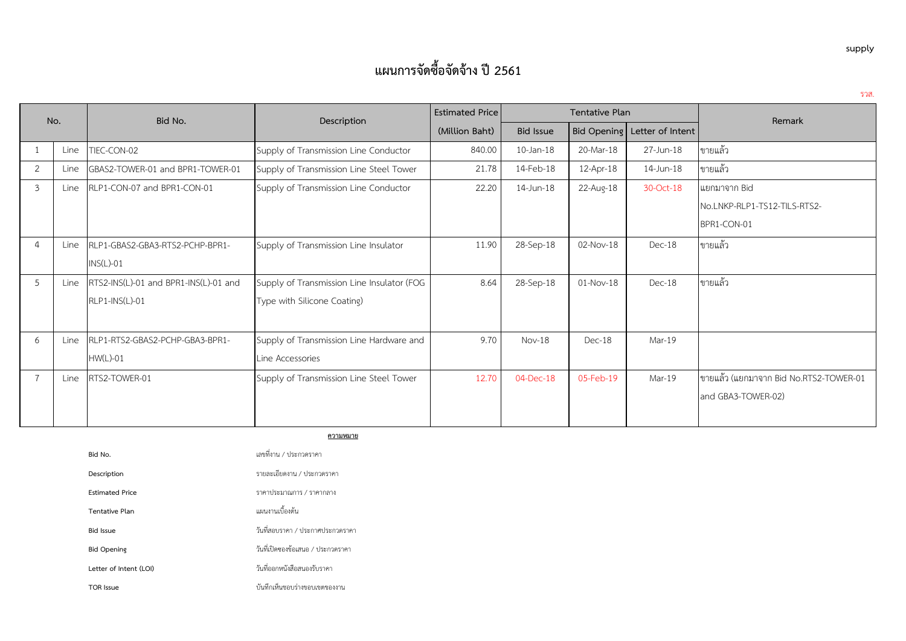| No.            |      | Bid No.                               | Description                                | <b>Estimated Price</b> | <b>Tentative Plan</b> |             | Remark                       |                                        |
|----------------|------|---------------------------------------|--------------------------------------------|------------------------|-----------------------|-------------|------------------------------|----------------------------------------|
|                |      |                                       |                                            | (Million Baht)         | <b>Bid Issue</b>      |             | Bid Opening Letter of Intent |                                        |
|                | Line | TIEC-CON-02                           | Supply of Transmission Line Conductor      | 840.00                 | 10-Jan-18             | 20-Mar-18   | 27-Jun-18                    | ขายแล้ว                                |
| 2              | Line | GBAS2-TOWER-01 and BPR1-TOWER-01      | Supply of Transmission Line Steel Tower    | 21.78                  | 14-Feb-18             | 12-Apr-18   | 14-Jun-18                    | ขายแล้ว                                |
| 3              | Line | RLP1-CON-07 and BPR1-CON-01           | Supply of Transmission Line Conductor      | 22.20                  | 14-Jun-18             | 22-Aug-18   | 30-Oct-18                    | แยกมาจาก Bid                           |
|                |      |                                       |                                            |                        |                       |             |                              | No.LNKP-RLP1-TS12-TILS-RTS2-           |
|                |      |                                       |                                            |                        |                       |             |                              | BPR1-CON-01                            |
| $\overline{a}$ | Line | RLP1-GBAS2-GBA3-RTS2-PCHP-BPR1-       | Supply of Transmission Line Insulator      | 11.90                  | 28-Sep-18             | 02-Nov-18   | Dec-18                       | ขายแล้ว                                |
|                |      | $INS(L)-01$                           |                                            |                        |                       |             |                              |                                        |
| 5              | Line | RTS2-INS(L)-01 and BPR1-INS(L)-01 and | Supply of Transmission Line Insulator (FOG | 8.64                   | 28-Sep-18             | $01-Nov-18$ | Dec-18                       | ขายแล้ว                                |
|                |      | RLP1-INS(L)-01                        | Type with Silicone Coating)                |                        |                       |             |                              |                                        |
|                |      |                                       |                                            |                        |                       |             |                              |                                        |
| 6              | Line | RLP1-RTS2-GBAS2-PCHP-GBA3-BPR1-       | Supply of Transmission Line Hardware and   | 9.70                   | $Nov-18$              | $Dec-18$    | Mar-19                       |                                        |
|                |      | $HW(L)-01$                            | Line Accessories                           |                        |                       |             |                              |                                        |
| $\overline{7}$ | Line | RTS2-TOWER-01                         | Supply of Transmission Line Steel Tower    | 12.70                  | 04-Dec-18             | 05-Feb-19   | Mar-19                       | ขายแล้ว (แยกมาจาก Bid No.RTS2-TOWER-01 |
|                |      |                                       |                                            |                        |                       |             |                              | and GBA3-TOWER-02)                     |
|                |      |                                       |                                            |                        |                       |             |                              |                                        |

**ความหมาย**

| Bid No.                | เลขที่งาน / ประกวดราคา            |
|------------------------|-----------------------------------|
| Description            | รายละเอียดงาน / ประกวดราคา        |
| <b>Estimated Price</b> | ราคาประมาณการ / ราคากลาง          |
| Tentative Plan         | แผนงานเบื้องต้น                   |
| <b>Bid Issue</b>       | วันที่สอบราคา / ประกาศประกวดราคา  |
| <b>Bid Opening</b>     | วันที่เปิดซองข้อเสนอ / ประกวดราคา |
| Letter of Intent (LOI) | วันที่ออกหนังสือสนองรับราคา       |
| TOR Issue              | บันทึกเห็นชอบร่างขอบเขตของงาน     |

**supply**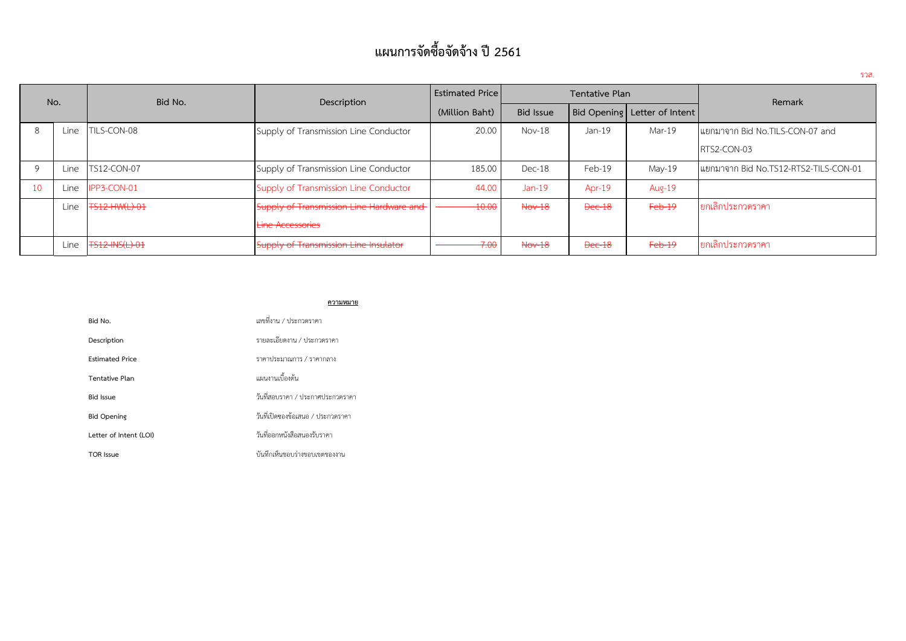| No. |      | Bid No.            | Description                              | <b>Estimated Price</b> | Tentative Plan   |               |                              | Remark                                |  |
|-----|------|--------------------|------------------------------------------|------------------------|------------------|---------------|------------------------------|---------------------------------------|--|
|     |      |                    |                                          | (Million Baht)         | <b>Bid Issue</b> |               | Bid Opening Letter of Intent |                                       |  |
|     | Line | TILS-CON-08        | Supply of Transmission Line Conductor    | 20.00                  | $Nov-18$         | Jan-19        | Mar-19                       | โแยกมาจาก Bid No.TILS-CON-07 and      |  |
|     |      |                    |                                          |                        |                  |               |                              | RTS2-CON-03                           |  |
|     | Line | <b>TS12-CON-07</b> | Supply of Transmission Line Conductor    | 185.00                 | Dec-18           | Feb-19        | May-19                       | แยกมาจาก Bid No.TS12-RTS2-TILS-CON-01 |  |
| 10  | Line | IPP3-CON-01        | Supply of Transmission Line Conductor    | 44.00                  | $Jan-19$         | Apr-19        | Aug-19                       |                                       |  |
|     | Line | TS12-HW(L)-01      | Supply of Transmission Line Hardware and | $-10.00$               | $\text{Nov-18}$  | <b>Dec-18</b> | $Feb-19$                     | ยกเลิกประกวดราคา                      |  |
|     |      |                    | <b>Line Accessories</b>                  |                        |                  |               |                              |                                       |  |
|     | Line | TS12-INS(L)-01     | Supply of Transmission Line Insulator    | 7.00                   | $Nov-18$         | Dec-18        | Feb-19                       | ยกเลิกประกวดราคา                      |  |

### **ความหมาย**

| Bid No.                | เลขที่งาน / ประกวดราคา            |
|------------------------|-----------------------------------|
| Description            | รายละเอียดงาน / ประกวดราคา        |
| <b>Estimated Price</b> | ราคาประมาณการ / ราคากลาง          |
| Tentative Plan         | แผนงานเบื้องต้น                   |
| <b>Bid Issue</b>       | วันที่สอบราคา / ประกาศประกวดราคา  |
| <b>Bid Opening</b>     | วันที่เปิดซองข้อเสนอ / ประกวดราคา |
| Letter of Intent (LOI) | วันที่ออกหนังสือสนองรับราคา       |
| <b>TOR Issue</b>       | บันทึกเห็นชอบร่างขอบเขตของงาน     |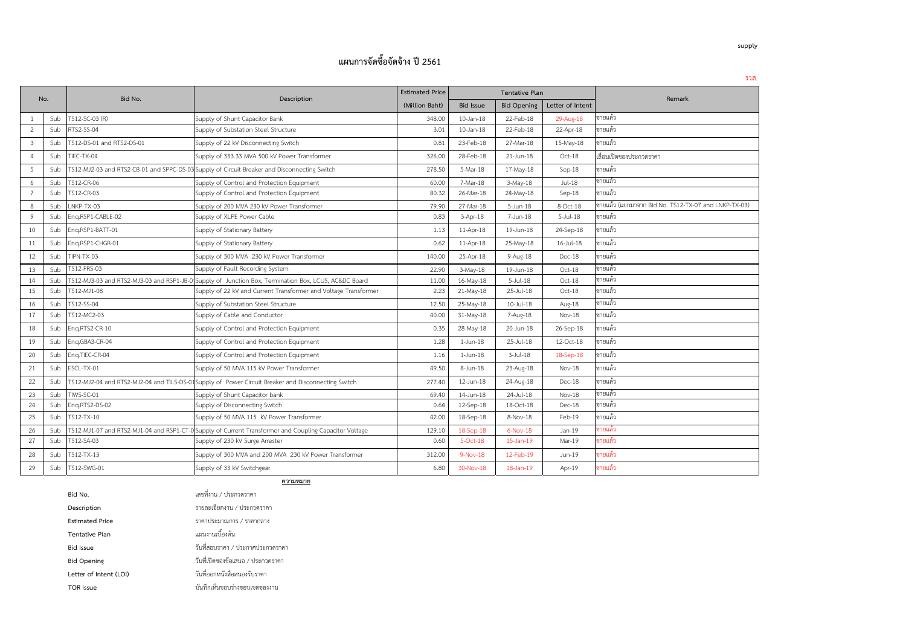| No.            |     | Bid No.                   | Description                                                                                            | <b>Estimated Price</b> |                  | Tentative Plan     |                  | Remark                                               |
|----------------|-----|---------------------------|--------------------------------------------------------------------------------------------------------|------------------------|------------------|--------------------|------------------|------------------------------------------------------|
|                |     |                           |                                                                                                        | (Million Baht)         | <b>Bid Issue</b> | <b>Bid Opening</b> | Letter of Intent |                                                      |
|                | Sub | TS12-SC-03 (R)            | Supply of Shunt Capacitor Bank                                                                         | 348.00                 | $10$ -Jan- $18$  | 22-Feb-18          | 29-Aug-18        | ขายแล้ว                                              |
| $\overline{2}$ | Sub | RTS2-SS-04                | Supply of Substation Steel Structure                                                                   | 3.01                   | 10-Jan-18        | 22-Feb-18          | 22-Apr-18        | ขายแล้ว                                              |
| $3^{\circ}$    | Sub | FS12-DS-01 and RTS2-DS-01 | Supply of 22 kV Disconnecting Switch                                                                   | 0.81                   | 23-Feb-18        | 27-Mar-18          | 15-May-18        | ขายแล้ว                                              |
| $\overline{4}$ | Sub | TIEC-TX-04                | Supply of 333.33 MVA 500 kV Power Transformer                                                          | 326.00                 | 28-Feb-18        | 21-Jun-18          | $Oct-18$         | เลื่อนเปิดชองประกวดราคา                              |
| 5              | Sub |                           | TS12-MJ2-03 and RTS2-CB-01 and SPPC-DS-03 Supply of Circuit Breaker and Disconnecting Switch           | 278.50                 | 5-Mar-18         | 17-May-18          | Sep-18           | ขายแล้ว                                              |
| 6              | Sub | TS12-CR-06                | Supply of Control and Protection Equipment                                                             | 60.00                  | 7-Mar-18         | $3-May-18$         | Jul-18           | ขายแล้ว                                              |
| $\overline{7}$ | Sub | TS12-CR-03                | Supply of Control and Protection Equipment                                                             | 80.32                  | 26-Mar-18        | 24-May-18          | $Sep-18$         | ขายแล้ว                                              |
| 8              | Sub | LNKP-TX-03                | Supply of 200 MVA 230 kV Power Transformer                                                             | 79.90                  | 27-Mar-18        | $5 - Jun-18$       | 8-Oct-18         | ขายแล้ว (แยกมาจาก Bid No. TS12-TX-07 and LNKP-TX-03) |
| 9              | Sub | Eng.RSP1-CABLE-02         | Supply of XLPE Power Cable                                                                             | 0.83                   | $3-Apr-18$       | 7-Jun-18           | $5$ -Jul-18      | ขายแล้ว                                              |
| 10             | Sub | Eng.RSP1-BATT-01          | Supply of Stationary Battery                                                                           | 1.13                   | 11-Apr-18        | 19-Jun-18          | 24-Sep-18        | ขายแล้ว                                              |
| 11             | Sub | Eng.RSP1-CHGR-01          | Supply of Stationary Battery                                                                           | 0.62                   | 11-Apr-18        | 25-May-18          | $16$ -Jul- $18$  | ขายแล้ว                                              |
| 12             | Sub | TIPN-TX-03                | Supply of 300 MVA 230 kV Power Transformer                                                             | 140.00                 | 25-Apr-18        | 9-Aug-18           | $Dec-18$         | ขายแล้ว                                              |
| 13             | Sub | TS12-FRS-03               | Supply of Fault Recording System                                                                       | 22.90                  | $3-May-18$       | 19-Jun-18          | $Oct-18$         | ขายแล้ว                                              |
| 14             | Sub |                           | TS12-MJ3-03 and RTS2-MJ3-03 and RSP1-JB-0 Supply of Junction Box, Termination Box, LCUS, AC&DC Board   | 11.00                  | 16-May-18        | $5$ -Jul-18        | Oct-18           | ขายแล้ว                                              |
| 15             | Sub | TS12-MJ1-08               | Supply of 22 kV and Current Transformer and Voltage Transformer                                        | 2.23                   | 21-May-18        | 25-Jul-18          | Oct-18           | ขายแล้ว                                              |
| 16             | Sub | TS12-SS-04                | Supply of Substation Steel Structure                                                                   | 12.50                  | 25-May-18        | $10$ -Jul- $18$    | Aug-18           | ขายแล้ว                                              |
| 17             | Sub | TS12-MC2-03               | Supply of Cable and Conductor                                                                          | 40.00                  | 31-May-18        | 7-Aug-18           | $Nov-18$         | ขายแล้ว                                              |
| 18             | Sub | Eng.RTS2-CR-10            | Supply of Control and Protection Equipment                                                             | 0.35                   | 28-May-18        | 20-Jun-18          | 26-Sep-18        | ขายแล้ว                                              |
| 19             | Sub | Eng.GBA3-CR-04            | Supply of Control and Protection Equipment                                                             | 1.28                   | $1$ -Jun- $18$   | 25-Jul-18          | 12-Oct-18        | ขายแล้ว                                              |
| 20             | Sub | Eng.TIEC-CR-04            | Supply of Control and Protection Equipment                                                             | 1.16                   | $1$ -Jun- $18$   | $3$ -Jul-18        | 18-Sep-18        | ขายแล้ว                                              |
| 21             | Sub | ESCL-TX-01                | Supply of 50 MVA 115 kV Power Transformer                                                              | 49.50                  | 8-Jun-18         | 23-Aug-18          | Nov-18           | ขายแล้ว                                              |
| 22             | Sub |                           | TS12-MJ2-04 and RTS2-MJ2-04 and TILS-DS-01 Supply of Power Circuit Breaker and Disconnecting Switch    | 277.40                 | 12-Jun-18        | 24-Aug-18          | Dec-18           | ขายแล้ว                                              |
| 23             | Sub | TIWS-SC-01                | Supply of Shunt Capacitor bank                                                                         | 69.40                  | 14-Jun-18        | 24-Jul-18          | Nov-18           | ขายแล้ว                                              |
| 24             | Sub | Eng.RTS2-DS-02            | Supply of Disconnecting Switch                                                                         | 0.64                   | 12-Sep-18        | 18-Oct-18          | $Dec-18$         | ขายแล้ว                                              |
| 25             | Sub | TS12-TX-10                | Supply of 50 MVA 115 kV Power Transformer                                                              | 42.00                  | 18-Sep-18        | 8-Nov-18           | Feb-19           | ขายแล้ว                                              |
| 26             | Sub |                           | TS12-MJ1-07 and RTS2-MJ1-04 and RSP1-CT-0 Supply of Current Transformer and Coupling Capacitor Voltage | 129.10                 | 18-Sep-18        | $6-Nov-18$         | Jan-19           | ขายแล้ว                                              |
| 27             | Sub | TS12-SA-03                | Supply of 230 kV Surge Arrester                                                                        | 0.60                   | 5-Oct-18         | $15$ -Jan-19       | Mar-19           | ขายแล้ว                                              |
| 28             | Sub | FS12-TX-13                | Supply of 300 MVA and 200 MVA 230 kV Power Transformer                                                 | 312.00                 | $9-Nov-18$       | 12-Feb-19          | Jun-19           | ขายแล้ว                                              |
| 29             | Sub | TS12-SWG-01               | Supply of 33 kV Switchgear                                                                             | 6.80                   | 30-Nov-18        | 18-Jan-19          | Apr-19           | ขายแล้ว                                              |

| Bid No.                | เลขที่งาน / ประกวดราคา            |
|------------------------|-----------------------------------|
| Description            | รายละเอียดงาน / ประกวดราคา        |
| <b>Estimated Price</b> | ราคาประมาณการ / ราคากลาง          |
| Tentative Plan         | แผนงานเบื้องต้น                   |
| <b>Bid Issue</b>       | วันที่สอบราคา / ประกาศประกวดราคา  |
| <b>Bid Opening</b>     | วันที่เปิดชองข้อเสนอ / ประกวดราคา |
| Letter of Intent (LOI) | วันที่ออกหนังสือสนองรับราคา       |
| <b>TOR Issue</b>       | บันทึกเห็นชอบร่างขอบเขตของงาน     |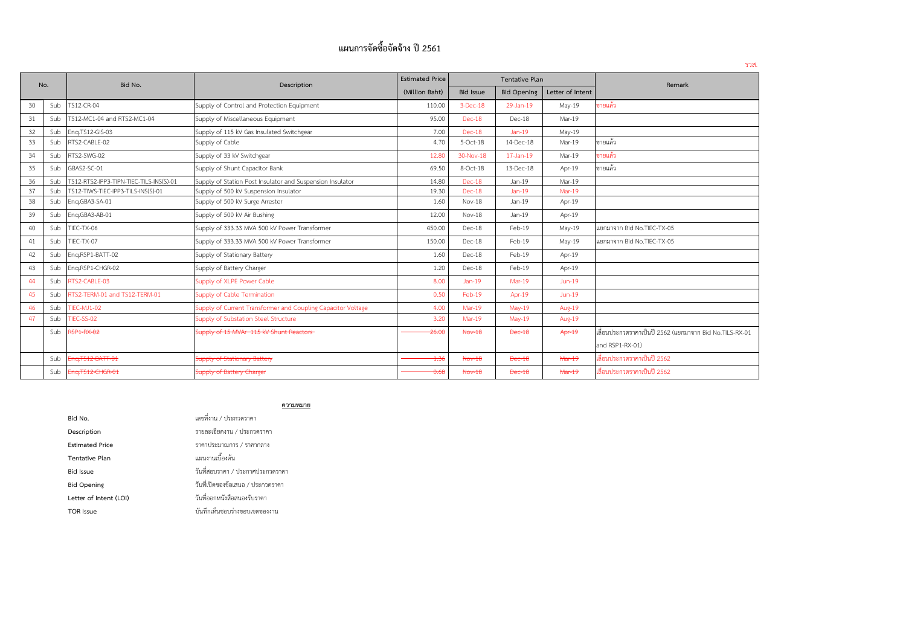| No. |     | Bid No.                                 | Description                                                  | <b>Estimated Price</b> |                  | <b>Tentative Plan</b> |                  | Remark                                                  |  |
|-----|-----|-----------------------------------------|--------------------------------------------------------------|------------------------|------------------|-----------------------|------------------|---------------------------------------------------------|--|
|     |     |                                         |                                                              | (Million Baht)         | <b>Bid Issue</b> | <b>Bid Opening</b>    | Letter of Intent |                                                         |  |
| 30  | Sub | TS12-CR-04                              | Supply of Control and Protection Equipment                   | 110.00                 | $3$ -Dec-18      | 29-Jan-19             | May-19           | ขายแล้ว                                                 |  |
| 31  | Sub | TS12-MC1-04 and RTS2-MC1-04             | Supply of Miscellaneous Equipment                            | 95.00                  | $Dec-18$         | $Dec-18$              | Mar-19           |                                                         |  |
| 32  | Sub | Eng.TS12-GIS-03                         | Supply of 115 kV Gas Insulated Switchgear                    | 7.00                   | Dec-18           | $Jan-19$              | May-19           |                                                         |  |
| 33  | Sub | RTS2-CABLE-02                           | Supply of Cable                                              | 4.70                   | 5-Oct-18         | 14-Dec-18             | Mar-19           | ขายแล้ว                                                 |  |
| 34  | Sub | RTS2-SWG-02                             | Supply of 33 kV Switchgear                                   | 12.80                  | 30-Nov-18        | 17-Jan-19             | Mar-19           | ขายแล้ว                                                 |  |
| 35  | Sub | GBAS2-SC-01                             | Supply of Shunt Capacitor Bank                               | 69.50                  | 8-Oct-18         | 13-Dec-18             | Apr-19           | ขายแล้ว                                                 |  |
| 36  | Sub | TS12-RTS2-IPP3-TIPN-TIEC-TILS-INS(S)-01 | Supply of Station Post Insulator and Suspension Insulator    | 14.80                  | Dec-18           | $Jan-19$              | Mar-19           |                                                         |  |
| 37  | Sub | TS12-TIWS-TIEC-IPP3-TILS-INS(S)-01      | Supply of 500 kV Suspension Insulator                        | 19.30                  | Dec-18           | $Jan-19$              | $Mar-19$         |                                                         |  |
| 38  | Sub | Eng.GBA3-SA-01                          | Supply of 500 kV Surge Arrester                              | 1.60                   | Nov-18           | Jan-19                | Apr-19           |                                                         |  |
| 39  | Sub | Eng.GBA3-AB-01                          | Supply of 500 kV Air Bushing                                 | 12.00                  | Nov-18           | Jan-19                | Apr-19           |                                                         |  |
| 40  | Sub | TIEC-TX-06                              | Supply of 333.33 MVA 500 kV Power Transformer                | 450.00                 | Dec-18           | Feb-19                | May-19           | แยกมาจาก Bid No.TIEC-TX-05                              |  |
| 41  | Sub | TIEC-TX-07                              | Supply of 333.33 MVA 500 kV Power Transformer                | 150.00                 | $Dec-18$         | Feb-19                | May-19           | แยกมาจาก Bid No.TIEC-TX-05                              |  |
| 42  | Sub | Eng.RSP1-BATT-02                        | Supply of Stationary Battery                                 | 1.60                   | Dec-18           | Feb-19                | Apr-19           |                                                         |  |
| 43  | Sub | Eng.RSP1-CHGR-02                        | Supply of Battery Charger                                    | 1.20                   | Dec-18           | Feb-19                | Apr-19           |                                                         |  |
| 44  | Sub | RTS2-CABLE-03                           | Supply of XLPE Power Cable                                   | 8.00                   | $Jan-19$         | $Mar-19$              | $Jun-19$         |                                                         |  |
| 45  | Sub | RTS2-TERM-01 and TS12-TERM-01           | Supply of Cable Termination                                  | 0.50                   | Feb-19           | Apr-19                | $Jun-19$         |                                                         |  |
| 46  | Sub | <b>TIEC-MJ1-02</b>                      | Supply of Current Transformer and Coupling Capacitor Voltage | 4.00                   | Mar-19           | $May-19$              | Aug-19           |                                                         |  |
| 47  | Sub | <b>TIEC-SS-02</b>                       | Supply of Substation Steel Structure                         | 3.20                   | Mar-19           | $May-19$              | Aug-19           |                                                         |  |
|     | Sub | <b>RSP1-RX-02</b>                       | Supply of 15 MVAr 115 kV Shunt Reactors                      | 26.06                  | $Nov-18$         | $\thetaec-18$         | Apr-19           | เลื่อนประกวดราคาเป็นปี 2562 (แยกมาจาก Bid No.TILS-RX-01 |  |
|     |     |                                         |                                                              |                        |                  |                       |                  | and RSP1-RX-01)                                         |  |
|     | Sub | Eng.T512-BATT-01                        | <b>Supply of Stationary Battery</b>                          | $+36$                  | $Now-18$         | <b>Dec-18</b>         | $Mar-19$         | เลื่อนประกวดราคาเป็นปี 2562                             |  |
|     | Sub | Eng.T512-CHGR-01                        | Supply of Battery Charger                                    | 0.68                   | <b>Nov-18</b>    | $\thetaec-18$         | Mar-19           | เลื่อนประกวดราคาเป็นปี 2562                             |  |

#### **ความหมาย**

| Bid No.                | เลขที่งาน / ประกวดราคา            |
|------------------------|-----------------------------------|
| Description            | รายละเอียดงาน / ประกวดราคา        |
| <b>Estimated Price</b> | ราคาประมาณการ / ราคากลาง          |
| Tentative Plan         | แผนงานเบื้องต้น                   |
| <b>Bid Issue</b>       | วันที่สอบราคา / ประกาศประกวดราคา  |
| <b>Bid Opening</b>     | วันที่เปิดชองข้อเสนอ / ประกวดราคา |
| Letter of Intent (LOI) | วันที่ออกหนังสือสนองรับราคา       |
| <b>TOR</b> Issue       | บันทึกเห็นชอบร่างขอบเขตของงาน     |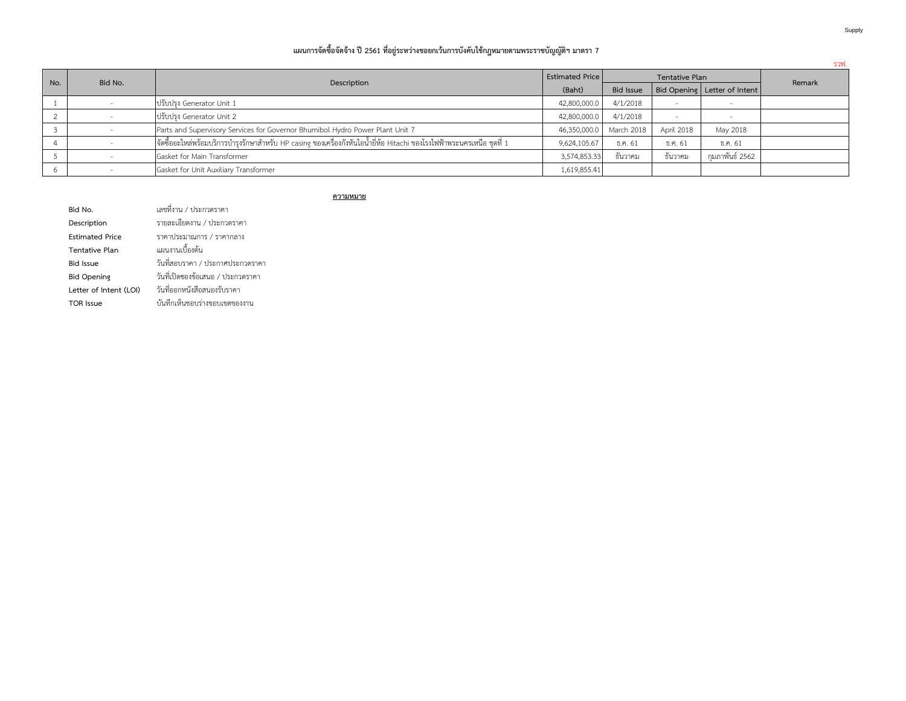### **แผนการจัดซื้อจัดจ้าง ปี2561 ที่อยู่ระหว่างชอยกเว้นการบังคับใช้กฎหมายตามพระราชบัญญัติฯ มาตรา 7**

|     |         |                                                                                                                        |                        |                  |            |                              | ี รวฟ. |
|-----|---------|------------------------------------------------------------------------------------------------------------------------|------------------------|------------------|------------|------------------------------|--------|
| No. | Bid No. | Description                                                                                                            | <b>Estimated Price</b> | Tentative Plan   |            |                              | Remark |
|     |         |                                                                                                                        |                        | <b>Bid Issue</b> |            | Bid Opening Letter of Intent |        |
|     |         | ปรับปรุง Generator Unit 1                                                                                              | 42,800,000.0           | 4/1/2018         |            |                              |        |
|     |         | ปรับปรง Generator Unit 2                                                                                               | 42,800,000.0           | 4/1/2018         |            |                              |        |
|     |         | Parts and Supervisory Services for Governor Bhumibol Hydro Power Plant Unit 7                                          | 46,350,000.0           | March 2018       | April 2018 | May 2018                     |        |
|     |         | จัดซื้ออะไหล่พร้อมบริการบำรุงรักษาสำหรับ HP casing ของเครื่องกังหันไอน้ำยี่ห้อ Hitachi ของโรงไฟฟ้าพระนครเหนือ ชุดที่ 1 | 9,624,105.67           | ธิ.ค. 61         | ธ.ค. 61    | ธิ.ค. 61                     |        |
|     |         | Gasket for Main Transformer                                                                                            | 3,574,853.33           | ธันวาคม          | ธันวาคม    | กมภาพันธ์ 2562               |        |
|     |         | Gasket for Unit Auxiliary Transformer                                                                                  | 1,619,855.41           |                  |            |                              |        |

### **ความหมาย**

| Bid No.                | เลขที่งาน / ประกวดราคา            |
|------------------------|-----------------------------------|
| Description            | รายละเอียดงาน / ประกวดราคา        |
| <b>Estimated Price</b> | ราคาประมาณการ / ราคากลาง          |
| Tentative Plan         | แผนงานเบื้องต้น                   |
| <b>Bid Issue</b>       | วันที่สอบราคา / ประกาศประกวดราคา  |
| <b>Bid Opening</b>     | วันที่เปิดชองข้อเสนอ / ประกวดราคา |
| Letter of Intent (LOI) | วันที่ออกหนังสือสนองรับราคา       |
| TOR Issue              | บันทึกเห็นชอบร่างขอบเขตของงาน     |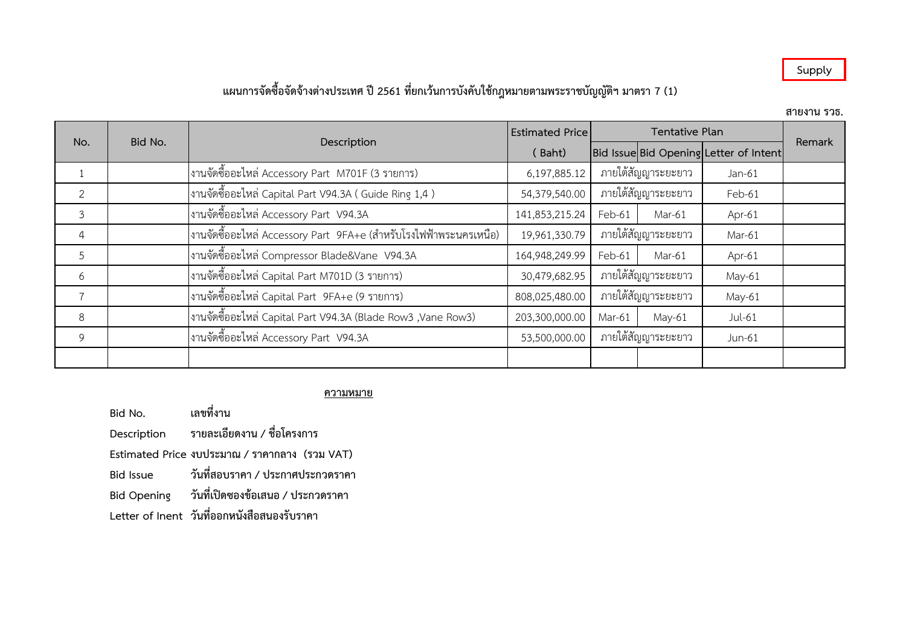## **Supply**

## **แผนการจัดซื้อจัดจ้างต่างประเทศ ปี2561 ที่ยกเว้นการบงัคับใช้กฎหมายตามพระราชบญั ญตัิฯ มาตรา 7 (1)**

**สายงาน รวธ.**

| No.            | <b>Estimated Price</b><br>Bid No.                                  |                |                    | Remark |                                        |  |
|----------------|--------------------------------------------------------------------|----------------|--------------------|--------|----------------------------------------|--|
|                | Description                                                        | (Baht)         |                    |        | Bid Issue Bid Opening Letter of Intent |  |
|                | งานจัดซื้ออะไหล่ Accessory Part  M701F (3 รายการ)                  | 6,197,885.12   | ภายใต้สัญญาระยะยาว |        | $Jan-61$                               |  |
| 2              | งานจัดซื้ออะไหล่ Capital Part V94.3A ( Guide Ring 1,4 )            | 54,379,540.00  | ภายใต้สัญญาระยะยาว |        | Feb-61                                 |  |
| 3              | งานจัดซื้ออะไหล่ Accessory Part  V94.3A                            | 141,853,215.24 | Feb-61             | Mar-61 | Apr-61                                 |  |
| $\overline{4}$ | งานจัดซื้ออะไหล่ Accessory Part  9FA+e (สำหรับโรงไฟฟ้าพระนครเหนือ) | 19,961,330.79  | ภายใต้สัญญาระยะยาว |        | Mar-61                                 |  |
| 5              | โงานจัดซื้ออะไหล่ Compressor Blade&Vane V94.3A                     | 164,948,249.99 | Feb-61             | Mar-61 | Apr-61                                 |  |
| 6              | งานจัดซื้ออะไหล่ Capital Part M701D (3 รายการ)                     | 30,479,682.95  | ภายใต้สัญญาระยะยาว |        | May-61                                 |  |
|                | งานจัดซื้ออะไหล่ Capital Part  9FA+e (9 รายการ)                    | 808,025,480.00 | ภายใต้สัญญาระยะยาว |        | May-61                                 |  |
| 8              | งานจัดซื้ออะไหล่ Capital Part V94.3A (Blade Row3 ,Vane Row3)       | 203,300,000.00 | Mar-61             | May-61 | Jul-61                                 |  |
| 9              | งานจัดซื้ออะไหล่ Accessory Part  V94.3A                            | 53,500,000.00  | ภายใต้สัญญาระยะยาว |        | Jun-61                                 |  |
|                |                                                                    |                |                    |        |                                        |  |

### **ความหมาย**

**Bid No. เลขที่งาน**

**Description รายละเอียดงาน / ชอื่ โครงการ**

**Estimated Price งบประมาณ / ราคากลาง (รวม VAT)**

**Bid Issue วันที่สอบราคา / ประกาศประกวดราคา**

**Bid Opening วันที่เปดิซองข้อเสนอ / ประกวดราคา**

**Letter of Inent วันที่ออกหนงัสือสนองรับราคา**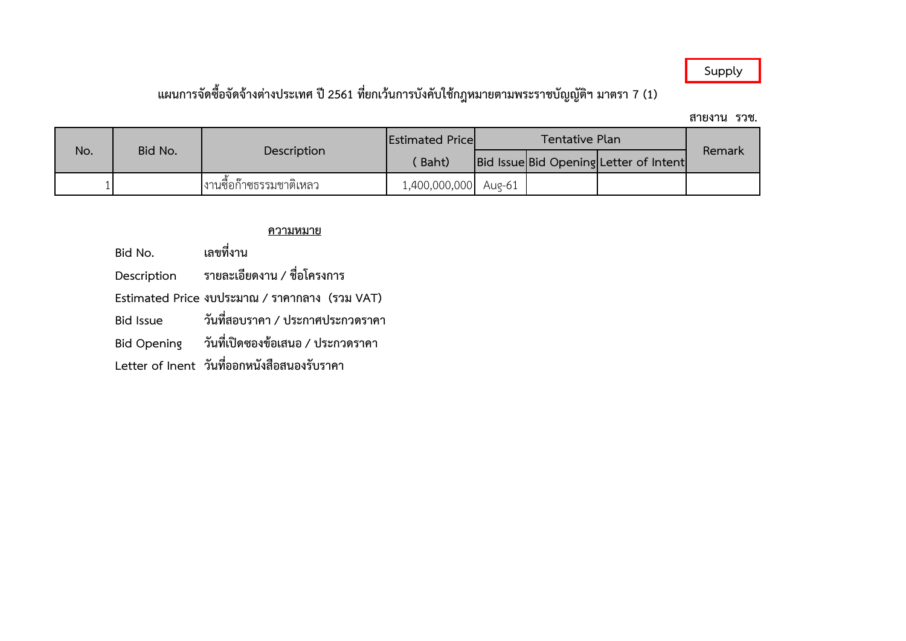## **Supply**

# **แผนการจัดซอื้จัดจ้างตา่ งประเทศ ปี2561 ทยี่ กเว้นการบังคับใชก้ ฎหมายตามพระราชบัญญัตฯิ มาตรา 7 (1)**

**สายงาน รวช.**

| No. | Bid No. | Description              | <b>Estimated Pricel</b> | Tentative Plan |  |                                        |        |
|-----|---------|--------------------------|-------------------------|----------------|--|----------------------------------------|--------|
|     |         |                          | Baht)                   |                |  | Bid Issue Bid Opening Letter of Intent | Remark |
|     |         | เงานซื้อก๊าซธรรมชาติเหลว | 1,400,000,000 Aug-61    |                |  |                                        |        |

## **ความหมาย**

| Bid No.          | เลขที่งาน                                     |
|------------------|-----------------------------------------------|
| Description      | รายละเอียดงาน / ชื่อโครงการ                   |
|                  | Estimated Price งบประมาณ / ราคากลาง (รวม VAT) |
| <b>Bid Issue</b> | วันที่สอบราคา / ประกาศประกวดราคา              |
|                  | Bid Opening วันที่เปิดซองข้อเสนอ / ประกวดราคา |
|                  | Letter of Inent วันที่ออกหนังสือสนองรับราคา   |